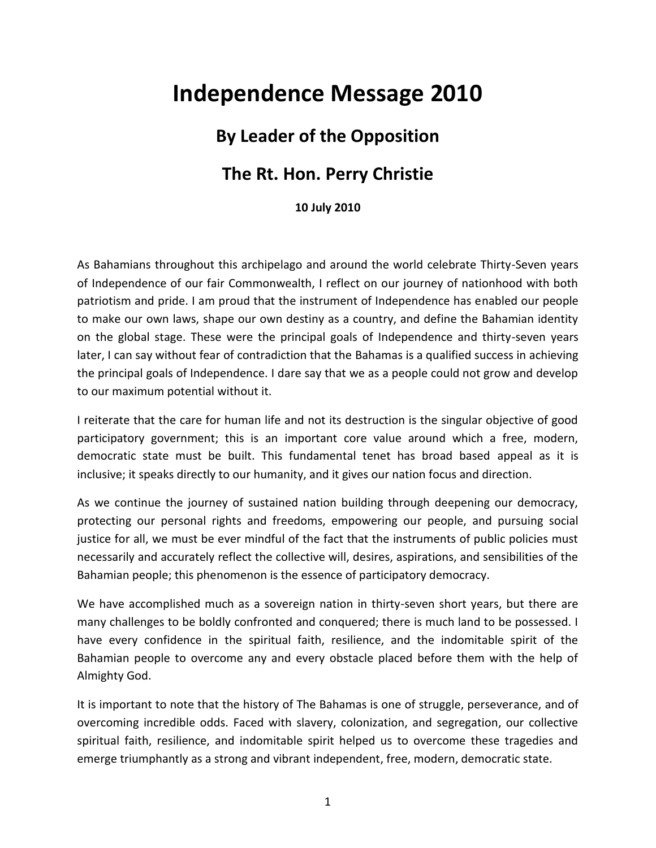## **Independence Message 2010**

## **By Leader of the Opposition**

## **The Rt. Hon. Perry Christie**

**10 July 2010**

As Bahamians throughout this archipelago and around the world celebrate Thirty-Seven years of Independence of our fair Commonwealth, I reflect on our journey of nationhood with both patriotism and pride. I am proud that the instrument of Independence has enabled our people to make our own laws, shape our own destiny as a country, and define the Bahamian identity on the global stage. These were the principal goals of Independence and thirty-seven years later, I can say without fear of contradiction that the Bahamas is a qualified success in achieving the principal goals of Independence. I dare say that we as a people could not grow and develop to our maximum potential without it.

I reiterate that the care for human life and not its destruction is the singular objective of good participatory government; this is an important core value around which a free, modern, democratic state must be built. This fundamental tenet has broad based appeal as it is inclusive; it speaks directly to our humanity, and it gives our nation focus and direction.

As we continue the journey of sustained nation building through deepening our democracy, protecting our personal rights and freedoms, empowering our people, and pursuing social justice for all, we must be ever mindful of the fact that the instruments of public policies must necessarily and accurately reflect the collective will, desires, aspirations, and sensibilities of the Bahamian people; this phenomenon is the essence of participatory democracy.

We have accomplished much as a sovereign nation in thirty-seven short years, but there are many challenges to be boldly confronted and conquered; there is much land to be possessed. I have every confidence in the spiritual faith, resilience, and the indomitable spirit of the Bahamian people to overcome any and every obstacle placed before them with the help of Almighty God.

It is important to note that the history of The Bahamas is one of struggle, perseverance, and of overcoming incredible odds. Faced with slavery, colonization, and segregation, our collective spiritual faith, resilience, and indomitable spirit helped us to overcome these tragedies and emerge triumphantly as a strong and vibrant independent, free, modern, democratic state.